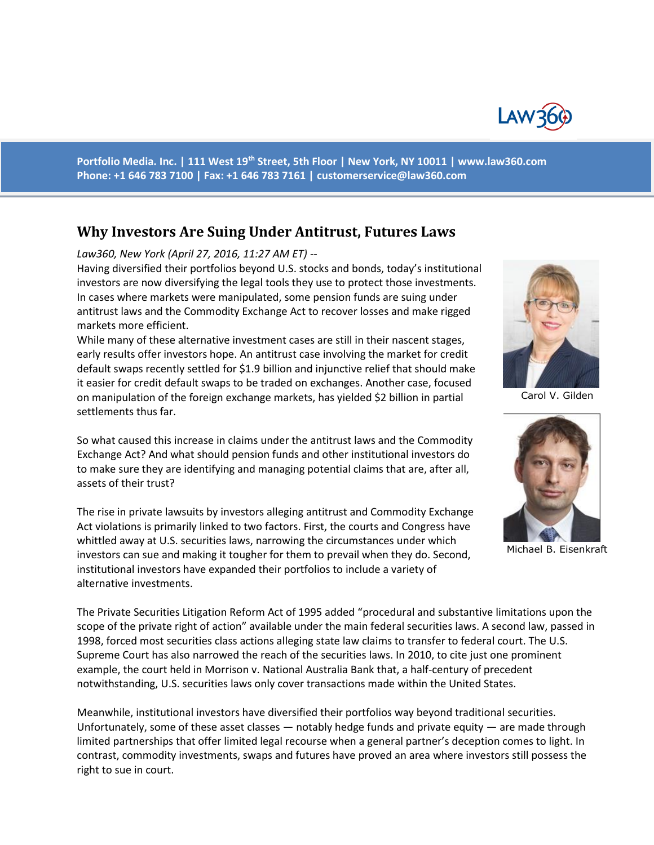

**Portfolio Media. Inc. | 111 West 19th Street, 5th Floor | New York, NY 10011 | www.law360.com Phone: +1 646 783 7100 | Fax: +1 646 783 7161 | [customerservice@law360.com](mailto:customerservice@law360.com)**

## **Why Investors Are Suing Under Antitrust, Futures Laws**

## *Law360, New York (April 27, 2016, 11:27 AM ET) --*

Having diversified their portfolios beyond U.S. stocks and bonds, today's institutional investors are now diversifying the legal tools they use to protect those investments. In cases where markets were manipulated, some pension funds are suing under antitrust laws and the Commodity Exchange Act to recover losses and make rigged markets more efficient.

While many of these alternative investment cases are still in their nascent stages, early results offer investors hope. An antitrust case involving the market for credit default swaps recently settled for \$1.9 billion and injunctive relief that should make it easier for credit default swaps to be traded on exchanges. Another case, focused on manipulation of the foreign exchange markets, has yielded \$2 billion in partial settlements thus far.

So what caused this increase in claims under the antitrust laws and the Commodity Exchange Act? And what should pension funds and other institutional investors do to make sure they are identifying and managing potential claims that are, after all, assets of their trust?

The rise in private lawsuits by investors alleging antitrust and Commodity Exchange Act violations is primarily linked to two factors. First, the courts and Congress have whittled away at U.S. securities laws, narrowing the circumstances under which investors can sue and making it tougher for them to prevail when they do. Second, institutional investors have expanded their portfolios to include a variety of alternative investments.

The Private Securities Litigation Reform Act of 1995 added "procedural and substantive limitations upon the scope of the private right of action" available under the main federal securities laws. A second law, passed in 1998, forced most securities class actions alleging state law claims to transfer to federal court. The U.S. Supreme Court has also narrowed the reach of the securities laws. In 2010, to cite just one prominent example, the court held in Morrison v. National Australia Bank that, a half-century of precedent notwithstanding, U.S. securities laws only cover transactions made within the United States.

Meanwhile, institutional investors have diversified their portfolios way beyond traditional securities. Unfortunately, some of these asset classes — notably hedge funds and private equity — are made through limited partnerships that offer limited legal recourse when a general partner's deception comes to light. In contrast, commodity investments, swaps and futures have proved an area where investors still possess the right to sue in court.



Carol V. Gilden



Michael B. Eisenkraft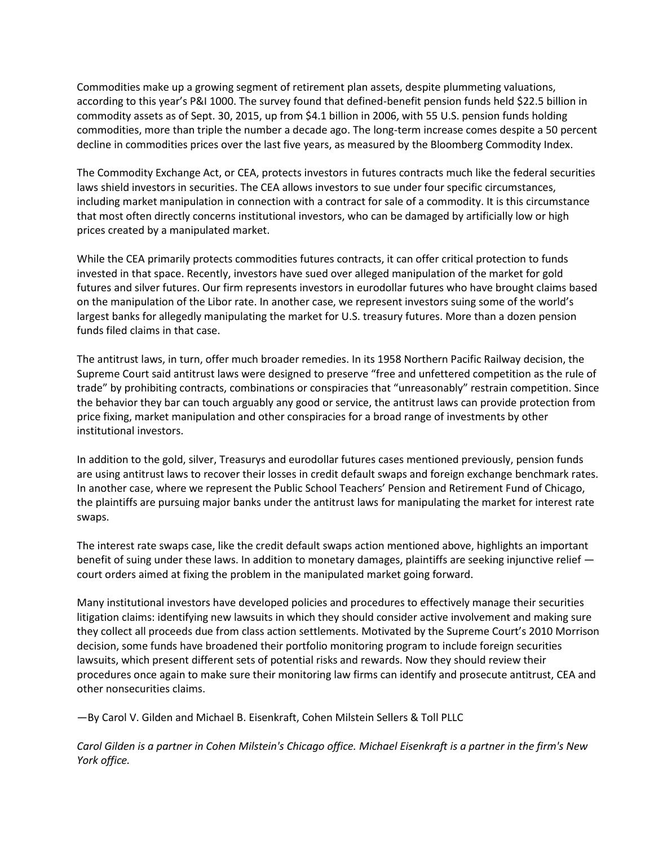Commodities make up a growing segment of retirement plan assets, despite plummeting valuations, according to this year's P&I 1000. The survey found that defined-benefit pension funds held \$22.5 billion in commodity assets as of Sept. 30, 2015, up from \$4.1 billion in 2006, with 55 U.S. pension funds holding commodities, more than triple the number a decade ago. The long-term increase comes despite a 50 percent decline in commodities prices over the last five years, as measured by the Bloomberg Commodity Index.

The Commodity Exchange Act, or CEA, protects investors in futures contracts much like the federal securities laws shield investors in securities. The CEA allows investors to sue under four specific circumstances, including market manipulation in connection with a contract for sale of a commodity. It is this circumstance that most often directly concerns institutional investors, who can be damaged by artificially low or high prices created by a manipulated market.

While the CEA primarily protects commodities futures contracts, it can offer critical protection to funds invested in that space. Recently, investors have sued over alleged manipulation of the market for gold futures and silver futures. Our firm represents investors in eurodollar futures who have brought claims based on the manipulation of the Libor rate. In another case, we represent investors suing some of the world's largest banks for allegedly manipulating the market for U.S. treasury futures. More than a dozen pension funds filed claims in that case.

The antitrust laws, in turn, offer much broader remedies. In its 1958 Northern Pacific Railway decision, the Supreme Court said antitrust laws were designed to preserve "free and unfettered competition as the rule of trade" by prohibiting contracts, combinations or conspiracies that "unreasonably" restrain competition. Since the behavior they bar can touch arguably any good or service, the antitrust laws can provide protection from price fixing, market manipulation and other conspiracies for a broad range of investments by other institutional investors.

In addition to the gold, silver, Treasurys and eurodollar futures cases mentioned previously, pension funds are using antitrust laws to recover their losses in credit default swaps and foreign exchange benchmark rates. In another case, where we represent the Public School Teachers' Pension and Retirement Fund of Chicago, the plaintiffs are pursuing major banks under the antitrust laws for manipulating the market for interest rate swaps.

The interest rate swaps case, like the credit default swaps action mentioned above, highlights an important benefit of suing under these laws. In addition to monetary damages, plaintiffs are seeking injunctive relief court orders aimed at fixing the problem in the manipulated market going forward.

Many institutional investors have developed policies and procedures to effectively manage their securities litigation claims: identifying new lawsuits in which they should consider active involvement and making sure they collect all proceeds due from class action settlements. Motivated by the Supreme Court's 2010 Morrison decision, some funds have broadened their portfolio monitoring program to include foreign securities lawsuits, which present different sets of potential risks and rewards. Now they should review their procedures once again to make sure their monitoring law firms can identify and prosecute antitrust, CEA and other nonsecurities claims.

—By Carol V. Gilden and Michael B. Eisenkraft, Cohen Milstein Sellers & Toll PLLC

*Carol Gilden is a partner in Cohen Milstein's Chicago office. Michael Eisenkraft is a partner in the firm's New York office.*